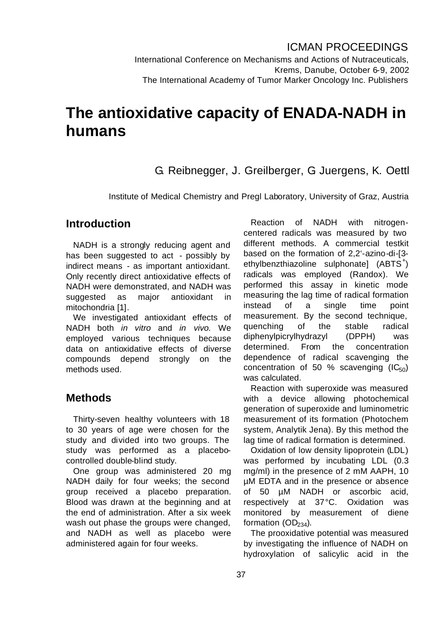International Conference on Mechanisms and Actions of Nutraceuticals, Krems, Danube, October 6-9, 2002 The International Academy of Tumor Marker Oncology Inc. Publishers

# **The antioxidative capacity of ENADA-NADH in humans**

G. Reibnegger, J. Greilberger, G. Juergens, K. Oettl

Institute of Medical Chemistry and Pregl Laboratory, University of Graz, Austria

## **Introduction**

NADH is a strongly reducing agent and has been suggested to act - possibly by indirect means - as important antioxidant. Only recently direct antioxidative effects of NADH were demonstrated, and NADH was suggested as major antioxidant in mitochondria [1].

We investigated antioxidant effects of NADH both *in vitro* and *in vivo.* We employed various techniques because data on antioxidative effects of diverse compounds depend strongly on the methods used.

#### **Methods**

Thirty-seven healthy volunteers with 18 to 30 years of age were chosen for the study and divided into two groups. The study was performed as a placebocontrolled double-blind study.

One group was administered 20 mg NADH daily for four weeks; the second group received a placebo preparation. Blood was drawn at the beginning and at the end of administration. After a six week wash out phase the groups were changed, and NADH as well as placebo were administered again for four weeks.

Reaction of NADH with nitrogencentered radicals was measured by two different methods. A commercial testkit based on the formation of 2,2'-azino-di-[3 ethylbenzthiazoline sulphonate]  $(ABTS<sup>+</sup>)$ radicals was employed (Randox). We performed this assay in kinetic mode measuring the lag time of radical formation instead of a single time point measurement. By the second technique, quenching of the stable radical diphenylpicrylhydrazyl (DPPH) was determined. From the concentration dependence of radical scavenging the concentration of 50 % scavenging  $(IC_{50})$ was calculated.

Reaction with superoxide was measured with a device allowing photochemical generation of superoxide and luminometric measurement of its formation (Photochem system, Analytik Jena). By this method the lag time of radical formation is determined.

Oxidation of low density lipoprotein (LDL) was performed by incubating LDL (0.3 mg/ml) in the presence of 2 mM AAPH, 10 µM EDTA and in the presence or absence of 50 µM NADH or ascorbic acid, respectively at 37°C. Oxidation was monitored by measurement of diene formation  $(OD<sub>234</sub>)$ .

The prooxidative potential was measured by investigating the influence of NADH on hydroxylation of salicylic acid in the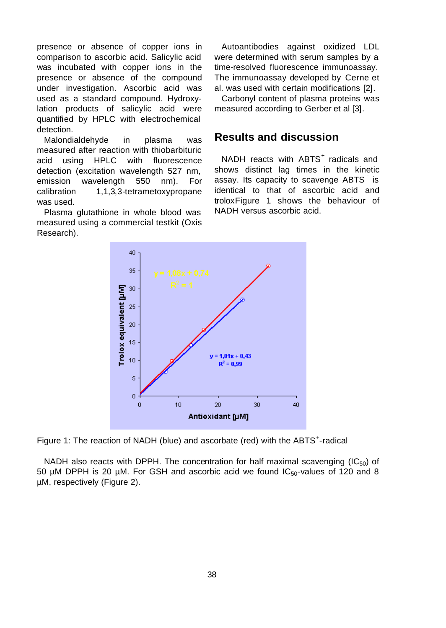presence or absence of copper ions in comparison to ascorbic acid. Salicylic acid was incubated with copper ions in the presence or absence of the compound under investigation. Ascorbic acid was used as a standard compound. Hydroxylation products of salicylic acid were quantified by HPLC with electrochemical detection.

Malondialdehyde in plasma was measured after reaction with thiobarbituric acid using HPLC with fluorescence detection (excitation wavelength 527 nm, emission wavelength 550 nm). For calibration 1,1,3,3-tetrametoxypropane was used.

Plasma glutathione in whole blood was measured using a commercial testkit (Oxis Research).

Autoantibodies against oxidized LDL were determined with serum samples by a time-resolved fluorescence immunoassay. The immunoassay developed by Cerne et al. was used with certain modifications [2].

Carbonyl content of plasma proteins was measured according to Gerber et al [3].

# **Results and discussion**

NADH reacts with ABTS<sup>+</sup> radicals and shows distinct lag times in the kinetic assay. Its capacity to scavenge  $ABTS^+$  is identical to that of ascorbic acid and troloxFigure 1 shows the behaviour of NADH versus ascorbic acid.



Figure 1: The reaction of NADH (blue) and ascorbate (red) with the ABTS<sup>+</sup>-radical

NADH also reacts with DPPH. The concentration for half maximal scavenging ( $IC_{50}$ ) of 50 µM DPPH is 20 µM. For GSH and ascorbic acid we found  $IC_{50}$ -values of 120 and 8 µM, respectively (Figure 2).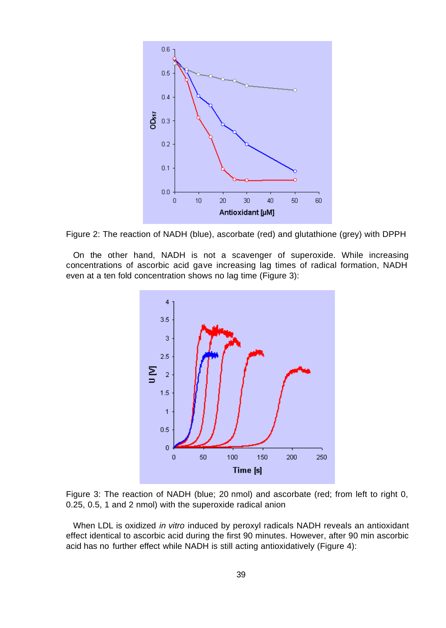



On the other hand, NADH is not a scavenger of superoxide. While increasing concentrations of ascorbic acid gave increasing lag times of radical formation, NADH even at a ten fold concentration shows no lag time (Figure 3):



Figure 3: The reaction of NADH (blue; 20 nmol) and ascorbate (red; from left to right 0, 0.25, 0.5, 1 and 2 nmol) with the superoxide radical anion

When LDL is oxidized *in vitro* induced by peroxyl radicals NADH reveals an antioxidant effect identical to ascorbic acid during the first 90 minutes. However, after 90 min ascorbic acid has no further effect while NADH is still acting antioxidatively (Figure 4):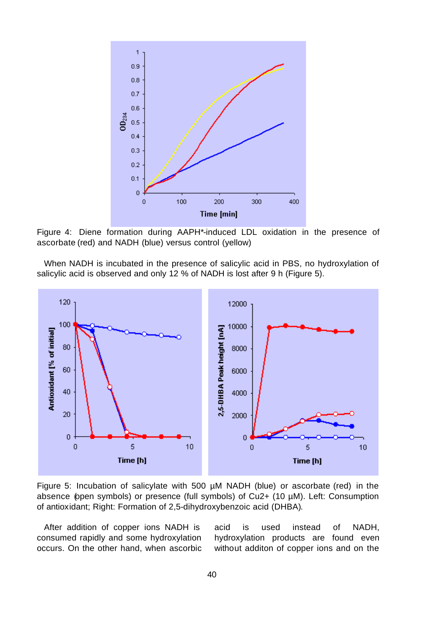

Figure 4: Diene formation during AAPH\*-induced LDL oxidation in the presence of ascorbate (red) and NADH (blue) versus control (yellow)

When NADH is incubated in the presence of salicylic acid in PBS, no hydroxylation of salicylic acid is observed and only 12 % of NADH is lost after 9 h (Figure 5).



Figure 5: Incubation of salicylate with 500  $\mu$ M NADH (blue) or ascorbate (red) in the absence (open symbols) or presence (full symbols) of Cu2+ (10 µM). Left: Consumption of antioxidant; Right: Formation of 2,5-dihydroxybenzoic acid (DHBA).

After addition of copper ions NADH is consumed rapidly and some hydroxylation occurs. On the other hand, when ascorbic acid is used instead of NADH, hydroxylation products are found even without additon of copper ions and on the